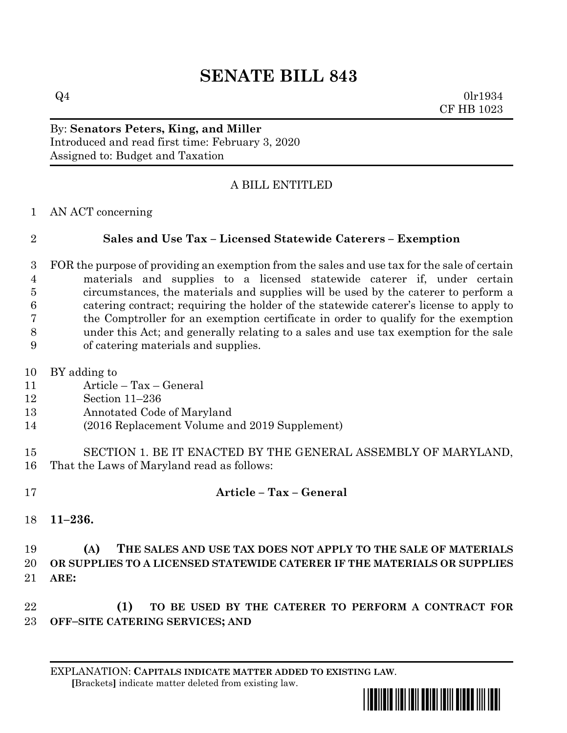# **SENATE BILL 843**

 $Q4$  0lr1934 CF HB 1023

#### By: **Senators Peters, King, and Miller** Introduced and read first time: February 3, 2020 Assigned to: Budget and Taxation

## A BILL ENTITLED

AN ACT concerning

### **Sales and Use Tax – Licensed Statewide Caterers – Exemption**

- FOR the purpose of providing an exemption from the sales and use tax for the sale of certain materials and supplies to a licensed statewide caterer if, under certain circumstances, the materials and supplies will be used by the caterer to perform a catering contract; requiring the holder of the statewide caterer's license to apply to the Comptroller for an exemption certificate in order to qualify for the exemption under this Act; and generally relating to a sales and use tax exemption for the sale of catering materials and supplies.
- BY adding to
- Article Tax General
- Section 11–236
- Annotated Code of Maryland
- (2016 Replacement Volume and 2019 Supplement)
- SECTION 1. BE IT ENACTED BY THE GENERAL ASSEMBLY OF MARYLAND, That the Laws of Maryland read as follows:
- 

### **Article – Tax – General**

**11–236.**

#### **(A) THE SALES AND USE TAX DOES NOT APPLY TO THE SALE OF MATERIALS OR SUPPLIES TO A LICENSED STATEWIDE CATERER IF THE MATERIALS OR SUPPLIES ARE:**

- **(1) TO BE USED BY THE CATERER TO PERFORM A CONTRACT FOR OFF–SITE CATERING SERVICES; AND**
	- EXPLANATION: **CAPITALS INDICATE MATTER ADDED TO EXISTING LAW**.  **[**Brackets**]** indicate matter deleted from existing law.